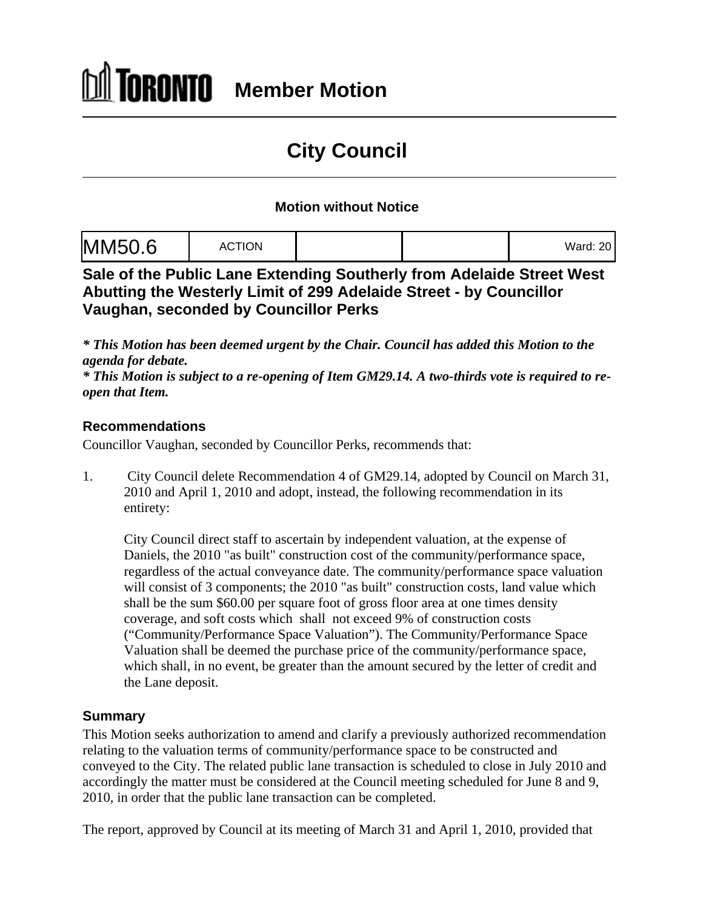# **City Council**

### **Motion without Notice**

|--|--|

**Sale of the Public Lane Extending Southerly from Adelaide Street West Abutting the Westerly Limit of 299 Adelaide Street - by Councillor Vaughan, seconded by Councillor Perks**

*\* This Motion has been deemed urgent by the Chair. Council has added this Motion to the agenda for debate.* 

*\* This Motion is subject to a re-opening of Item GM29.14. A two-thirds vote is required to re open that Item.*

### **Recommendations**

Councillor Vaughan, seconded by Councillor Perks, recommends that:

1. City Council delete Recommendation 4 of GM29.14, adopted by Council on March 31, 2010 and April 1, 2010 and adopt, instead, the following recommendation in its entirety:

City Council direct staff to ascertain by independent valuation, at the expense of Daniels, the 2010 "as built" construction cost of the community/performance space, regardless of the actual conveyance date. The community/performance space valuation will consist of 3 components; the 2010 "as built" construction costs, land value which shall be the sum \$60.00 per square foot of gross floor area at one times density coverage, and soft costs which shall not exceed 9% of construction costs ("Community/Performance Space Valuation"). The Community/Performance Space Valuation shall be deemed the purchase price of the community/performance space, which shall, in no event, be greater than the amount secured by the letter of credit and the Lane deposit.

### **Summary**

This Motion seeks authorization to amend and clarify a previously authorized recommendation relating to the valuation terms of community/performance space to be constructed and conveyed to the City. The related public lane transaction is scheduled to close in July 2010 and accordingly the matter must be considered at the Council meeting scheduled for June 8 and 9, 2010, in order that the public lane transaction can be completed.

The report, approved by Council at its meeting of March 31 and April 1, 2010, provided that